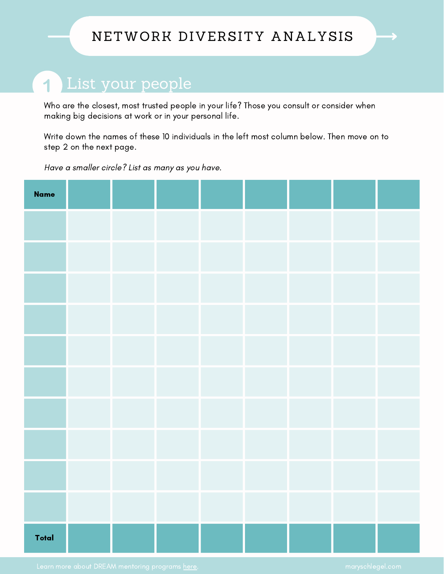### NETWORK DIVERSITY ANALYSIS

## List your people

Who are the closest, most trusted people in your life? Those you consult or consider when making big decisions at work or in your personal life.

Write down the names of these 10 individuals in the left most column below. Then move on to step 2 on the next page.

Have a smaller circle? List as many as you have.

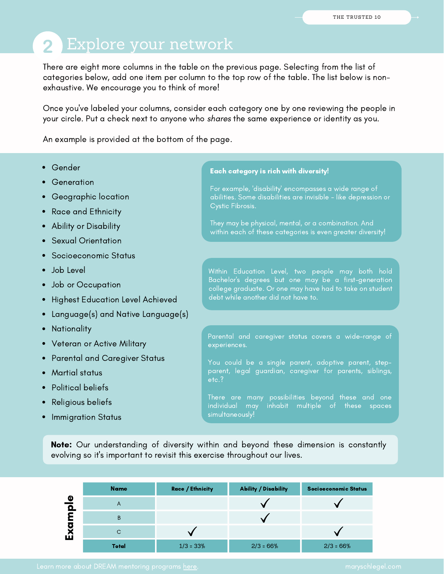# 2 Explore your network

There are eight more columns in the table on the previous page. Selecting from the list of categories below, add one item per column to the top row of the table. The list below is nonexhaustive. We encourage you to think of more!

Once you've labeled your columns, consider each category one by one reviewing the people in your circle. Put a check next to anyone who shares the same experience or identity as you.

An example is provided at the bottom of the page.

- Gender
- Generation
- Geographic location
- Race and Ethnicity
- Ability or Disability
- Sexual Orientation
- Socioeconomic Status
- Job Level
- Job or Occupation
- Highest Education Level Achieved
- Language(s) and Native Language(s)
- Nationality
- Veteran or Active Military
- Parental and Caregiver Status
- Martial status
- Political beliefs
- Religious beliefs
- Immigration Status

#### Each category is rich with diversity!

For example, 'disability' encompasses a wide range of abilities. Some disabilities are invisible - like depression or Cystic Fibrosis.

They may be physical, mental, or a combination. And within each of these categories is even greater diversity!

Within Education Level, two people may both hold Bachelor's degrees but one may be a first-generation college graduate. Or one may have had to take on student debt while another did not have to.

Parental and caregiver status covers a wide-range of experiences.

You could be a single parent, adoptive parent, stepparent, legal guardian, caregiver for parents, siblings, etc.?

There are many possibilities beyond these and one individual may inhabit multiple of these spaces

Note: Our understanding of diversity within and beyond these dimension is constantly evolving so it's important to revisit this exercise throughout our lives.

|                | <b>Name</b> | <b>Race / Ethnicity</b> | <b>Ability / Disability</b> | <b>Socioeconomic Status</b> |
|----------------|-------------|-------------------------|-----------------------------|-----------------------------|
| $\bullet$<br>O | A           |                         |                             |                             |
|                | B           |                         |                             |                             |
| O<br>仅         | С           |                         |                             |                             |
|                | Total       | $1/3 = 33%$             | $2/3 = 66%$                 | $2/3 = 66%$                 |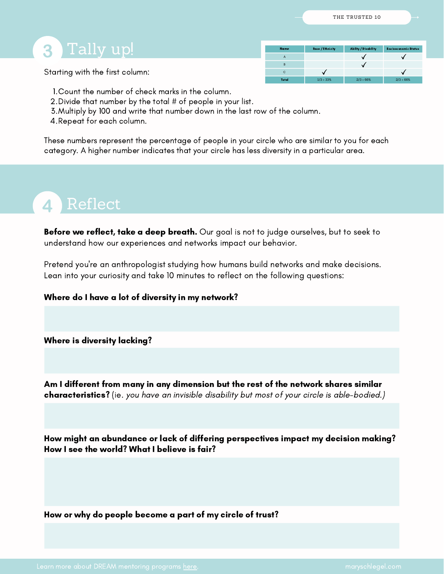### Tally up! 3

Starting with the first column:

| <b>Name</b>  | <b>Race / Ethnicity</b> | <b>Ability / Disability</b> | Socioeconomic Status |
|--------------|-------------------------|-----------------------------|----------------------|
| Α            |                         |                             |                      |
| B            |                         |                             |                      |
| с            |                         |                             |                      |
| <b>Total</b> | $1/3 = 33%$             | $2/3 = 66%$                 | $2/3 = 66%$          |

- Count the number of check marks in the column. 1.
- 2. Divide that number by the total # of people in your list.
- Multiply by 100 and write that number down in the last row of the column. 3.
- 4.Repeat for each column.

These numbers represent the percentage of people in your circle who are similar to you for each category. A higher number indicates that your circle has less diversity in a particular area.

# Reflect

Before we reflect, take a deep breath. Our goal is not to judge ourselves, but to seek to understand how our experiences and networks impact our behavior.

Pretend you're an anthropologist studying how humans build networks and make decisions. Lean into your curiosity and take 10 minutes to reflect on the following questions:

Where do I have a lot of diversity in my network?

Where is diversity lacking?

Am I different from many in any dimension but the rest of the network shares similar characteristics? (ie. you have an invisible disability but most of your circle is able-bodied.)

How might an abundance or lack of differing perspectives impact my decision making? How I see the world? What I believe is fair?

How or why do people become a part of my circle of trust?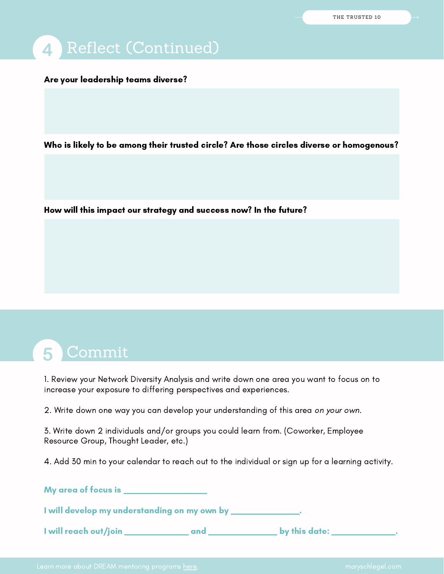Are your leadership teams diverse?

Who is likely to be among their trusted circle? Are those circles diverse or homogenous?

How will this impact our strategy and success now? In the future?

1. Review your Network Diversity Analysis and write down one area you want to focus on to increase your exposure to differing perspectives and experiences.

2. Write down one way you can develop your understanding of this area on your own.

3. Write down 2 individuals and/or groups you could learn from. (Coworker, Employee Resource Group, Thought Leader, etc.)

4. Add 30 min to your calendar to reach out to the individual or sign up for a learning activity.

My area of focus is \_\_\_\_\_\_\_\_\_\_\_\_\_\_\_\_\_

I will develop my understanding on my own by \_\_\_\_\_\_\_\_\_\_\_\_\_\_.

I will reach out/join \_\_\_\_\_\_\_\_\_\_\_\_\_ and \_\_\_\_\_\_\_\_\_\_\_\_\_\_ by this date: \_\_\_\_\_\_\_\_\_\_\_\_\_.